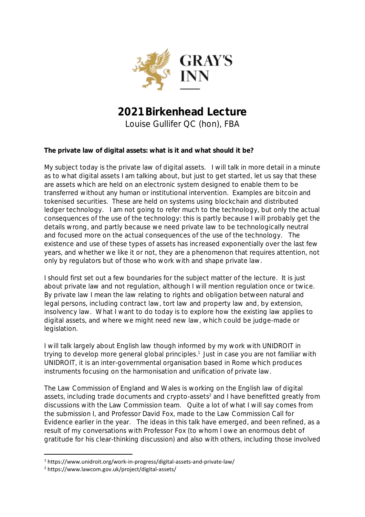

# **2021 Birkenhead Lecture** Louise Gullifer QC (hon), FBA

**The private law of digital assets: what is it and what should it be?**

My subject today is the private law of digital assets. I will talk in more detail in a minute as to what digital assets I am talking about, but just to get started, let us say that these are assets which are held on an electronic system designed to enable them to be transferred without any human or institutional intervention. Examples are bitcoin and tokenised securities. These are held on systems using blockchain and distributed ledger technology. I am not going to refer much to the technology, but only the actual consequences of the use of the technology: this is partly because I will probably get the details wrong, and partly because we need private law to be technologically neutral and focused more on the actual consequences of the use of the technology. The existence and use of these types of assets has increased exponentially over the last few years, and whether we like it or not, they are a phenomenon that requires attention, not only by regulators but of those who work with and shape private law.

I should first set out a few boundaries for the subject matter of the lecture. It is just about private law and not regulation, although I will mention regulation once or twice. By private law I mean the law relating to rights and obligation between natural and legal persons, including contract law, tort law and property law and, by extension, insolvency law. What I want to do today is to explore how the existing law applies to digital assets, and where we might need new law, which could be judge-made or legislation.

I will talk largely about English law though informed by my work with UNIDROIT in trying to develop more general global principles. 1 Just in case you are not familiar with UNIDROIT, it is an inter-governmental organisation based in Rome which produces instruments focusing on the harmonisation and unification of private law.

The Law Commission of England and Wales is working on the English law of digital assets, including trade documents and crypto-assets<sup>2</sup> and I have benefitted greatly from discussions with the Law Commission team. Quite a lot of what I will say comes from the submission I, and Professor David Fox, made to the Law Commission Call for Evidence earlier in the year. The ideas in this talk have emerged, and been refined, as a result of my conversations with Professor Fox (to whom I owe an enormous debt of gratitude for his clear-thinking discussion) and also with others, including those involved

<sup>1</sup> https://www.unidroit.org/work-in-progress/digital-assets-and-private-law/

<sup>2</sup> https://www.lawcom.gov.uk/project/digital-assets/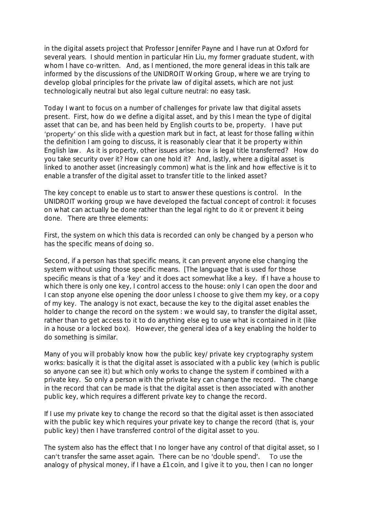in the digital assets project that Professor Jennifer Payne and I have run at Oxford for several years. I should mention in particular Hin Liu, my former graduate student, with whom I have co-written. And, as I mentioned, the more general ideas in this talk are informed by the discussions of the UNIDROIT Working Group, where we are trying to develop global principles for the private law of digital assets, which are not just technologically neutral but also legal culture neutral: no easy task.

Today I want to focus on a number of challenges for private law that digital assets present. First, how do we define a digital asset, and by this I mean the type of digital asset that can be, and has been held by English courts to be, property. I have put 'property' on this slide with a question mark but in fact, at least for those falling within the definition I am going to discuss, it is reasonably clear that it be property within English law. As it is property, other issues arise: how is legal title transferred? How do you take security over it? How can one hold it? And, lastly, where a digital asset is linked to another asset (increasingly common) what is the link and how effective is it to enable a transfer of the digital asset to transfer title to the linked asset?

The key concept to enable us to start to answer these questions is control. In the UNIDROIT working group we have developed the factual concept of control: it focuses on what can actually be done rather than the legal right to do it or prevent it being done. There are three elements:

First, the system on which this data is recorded can only be changed by a person who has the specific means of doing so.

Second, if a person has that specific means, it can prevent anyone else changing the system without using those specific means. [The language that is used for those specific means is that of a 'key' and it does act somewhat like a key. If I have a house to which there is only one key, I control access to the house: only I can open the door and I can stop anyone else opening the door unless I choose to give them my key, or a copy of my key. The analogy is not exact, because the key to the digital asset enables the holder to change the record on the system : we would say, to transfer the digital asset, rather than to get access to it to do anything else eg to use what is contained in it (like in a house or a locked box). However, the general idea of a key enabling the holder to do something is similar.

Many of you will probably know how the public key/private key cryptography system works: basically it is that the digital asset is associated with a public key (which is public so anyone can see it) but which only works to change the system if combined with a private key. So only a person with the private key can change the record. The change in the record that can be made is that the digital asset is then associated with another public key, which requires a different private key to change the record.

If I use my private key to change the record so that the digital asset is then associated with the public key which requires your private key to change the record (that is, your public key) then I have transferred control of the digital asset to you.

The system also has the effect that I no longer have any control of that digital asset, so I can't transfer the same asset again. There can be no 'double spend'. To use the analogy of physical money, if I have a £1 coin, and I give it to you, then I can no longer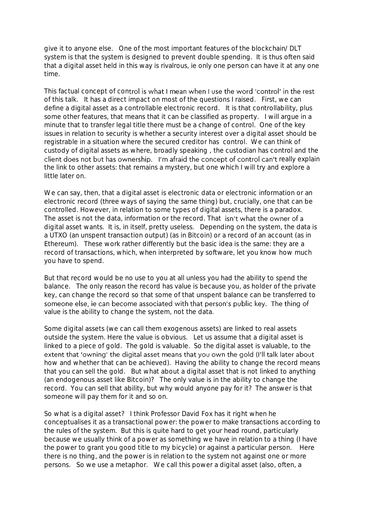give it to anyone else. One of the most important features of the blockchain/DLT system is that the system is designed to prevent double spending. It is thus often said that a digital asset held in this way is rivalrous, ie only one person can have it at any one time.

This factual concept of control is what I mean when I use the word 'control' in the rest of this talk. It has a direct impact on most of the questions I raised. First, we can define a digital asset as a controllable electronic record. It is that controllability, plus some other features, that means that it can be classified as property. I will argue in a minute that to transfer legal title there must be a change of control. One of the key issues in relation to security is whether a security interest over a digital asset should be registrable in a situation where the secured creditor has control. We can think of custody of digital assets as where, broadly speaking , the custodian has control and the client does not but has ownership. I'm afraid the concept of control can't really explain the link to other assets: that remains a mystery, but one which I will try and explore a little later on.

We can say, then, that a digital asset is electronic data or electronic information or an electronic record (three ways of saying the same thing) but, crucially, one that can be controlled. However, in relation to some types of digital assets, there is a paradox. The asset is not the data, information or the record. That isn't what the owner of a digital asset wants. It is, in itself, pretty useless. Depending on the system, the data is a UTXO (an unspent transaction output) (as in Bitcoin) or a record of an account (as in Ethereum). These work rather differently but the basic idea is the same: they are a record of transactions, which, when interpreted by software, let you know how much you have to spend.

But that record would be no use to you at all unless you had the ability to spend the balance. The only reason the record has value is because you, as holder of the private key, can change the record so that some of that unspent balance can be transferred to someone else, ie can become associated with that person's public key. The thing of value is the ability to change the system, not the data.

Some digital assets (we can call them exogenous assets) are linked to real assets outside the system. Here the value is obvious. Let us assume that a digital asset is linked to a piece of gold. The gold is valuable. So the digital asset is valuable, to the extent that 'owning' the digital asset means that you own the gold (I'll talk later about how and whether that can be achieved). Having the ability to change the record means that you can sell the gold. But what about a digital asset that is not linked to anything (an endogenous asset like Bitcoin)? The only value is in the ability to change the record. You can sell that ability, but why would anyone pay for it? The answer is that someone will pay them for it and so on.

So what is a digital asset? I think Professor David Fox has it right when he conceptualises it as a transactional power: the power to make transactions according to the rules of the system. But this is quite hard to get your head round, particularly because we usually think of a power as something we have in relation to a thing (I have the power to grant you good title to my bicycle) or against a particular person. Here there is no thing, and the power is in relation to the system not against one or more persons. So we use a metaphor. We call this power a digital asset (also, often, a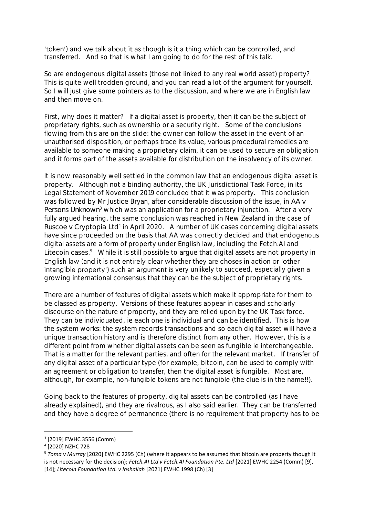'token') and we talk about it as though is it a thing which can be controlled, and transferred. And so that is what I am going to do for the rest of this talk.

So are endogenous digital assets (those not linked to any real world asset) property? This is quite well trodden ground, and you can read a lot of the argument for yourself. So I will just give some pointers as to the discussion, and where we are in English law and then move on.

First, why does it matter? If a digital asset is property, then it can be the subject of proprietary rights, such as ownership or a security right. Some of the conclusions flowing from this are on the slide: the owner can follow the asset in the event of an unauthorised disposition, or perhaps trace its value, various procedural remedies are available to someone making a proprietary claim, it can be used to secure an obligation and it forms part of the assets available for distribution on the insolvency of its owner.

It is now reasonably well settled in the common law that an endogenous digital asset is property. Although not a binding authority, the UK Jurisdictional Task Force, in its Legal Statement of November 2019 concluded that it was property. This conclusion was followed by Mr Justice Bryan, after considerable discussion of the issue, in *AA v Persons Unknown*<sup>3</sup> which was an application for a proprietary injunction. After a very fully argued hearing, the same conclusion was reached in New Zealand in the case of Ruscoe v Cryptopia Ltd<sup>4</sup> in April 2020. A number of UK cases concerning digital assets have since proceeded on the basis that AA was correctly decided and that endogenous digital assets are a form of property under English law, including the Fetch.AI and Litecoin cases.<sup>5</sup> While it is still possible to argue that digital assets are not property in English law (and it is not entirely clear whether they are choses in action or 'other intangible property') such an argument is very unlikely to succeed, especially given a growing international consensus that they can be the subject of proprietary rights.

There are a number of features of digital assets which make it appropriate for them to be classed as property. Versions of these features appear in cases and scholarly discourse on the nature of property, and they are relied upon by the UK Task force. They can be individuated, ie each one is individual and can be identified. This is how the system works: the system records transactions and so each digital asset will have a unique transaction history and is therefore distinct from any other. However, this is a different point from whether digital assets can be seen as fungible ie interchangeable. That is a matter for the relevant parties, and often for the relevant market. If transfer of any digital asset of a particular type (for example, bitcoin, can be used to comply with an agreement or obligation to transfer, then the digital asset is fungible. Most are, although, for example, non-fungible tokens are not fungible (the clue is in the name!!).

Going back to the features of property, digital assets can be controlled (as I have already explained), and they are rivalrous, as I also said earlier. They can be transferred and they have a degree of permanence (there is no requirement that property has to be

<sup>3</sup> [2019] EWHC 3556 (Comm)

<sup>4</sup> [2020] NZHC 728

<sup>5</sup> *Toma v Murray* [2020] EWHC 2295 (Ch) (where it appears to be assumed that bitcoin are property though it is not necessary for the decision); *Fetch.AI Ltd v Fetch.AI Foundation Pte. Ltd* [2021] EWHC 2254 (Comm) [9], [14]; *Litecoin Foundation Ltd. v Inshallah* [2021] EWHC 1998 (Ch) [3]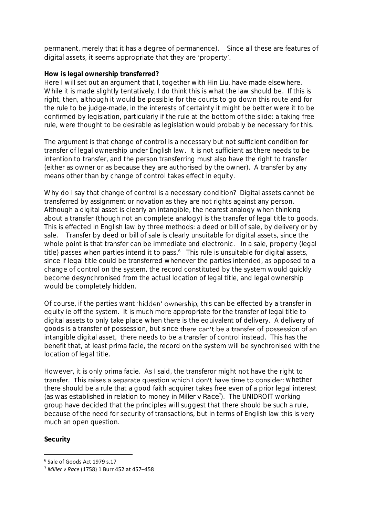permanent, merely that it has a degree of permanence). Since all these are features of digital assets, it seems appropriate that they are 'property'.

# **How is legal ownership transferred?**

Here I will set out an argument that I, together with Hin Liu, have made elsewhere. While it is made slightly tentatively, I do think this is what the law should be. If this is right, then, although it would be possible for the courts to go down this route and for the rule to be judge-made, in the interests of certainty it might be better were it to be confirmed by legislation, particularly if the rule at the bottom of the slide: a taking free rule, were thought to be desirable as legislation would probably be necessary for this.

The argument is that change of control is a necessary but not sufficient condition for transfer of legal ownership under English law. It is not sufficient as there needs to be intention to transfer, and the person transferring must also have the right to transfer (either as owner or as because they are authorised by the owner). A transfer by any means other than by change of control takes effect in equity.

Why do I say that change of control is a necessary condition? Digital assets cannot be transferred by assignment or novation as they are not rights against any person. Although a digital asset is clearly an intangible, the nearest analogy when thinking about a transfer (though not an complete analogy) is the transfer of legal title to goods. This is effected in English law by three methods: a deed or bill of sale, by delivery or by sale. Transfer by deed or bill of sale is clearly unsuitable for digital assets, since the whole point is that transfer can be immediate and electronic. In a sale, property (legal title) passes when parties intend it to pass.<sup>6</sup> This rule is unsuitable for digital assets, since if legal title could be transferred whenever the parties intended, as opposed to a change of control on the system, the record constituted by the system would quickly become desynchronised from the actual location of legal title, and legal ownership would be completely hidden.

Of course, if the parties want 'hidden' ownership, this can be effected by a transfer in equity ie off the system. It is much more appropriate for the transfer of legal title to digital assets to only take place when there is the equivalent of delivery. A delivery of goods is a transfer of possession, but since there can't be a transfer of possession of an intangible digital asset, there needs to be a transfer of control instead. This has the benefit that, at least prima facie, the record on the system will be synchronised with the location of legal title.

However, it is only prima facie. As I said, the transferor might not have the right to transfer. This raises a separate question which I don't have time to consider: whether there should be a rule that a good faith acquirer takes free even of a prior legal interest (as was established in relation to money in *Miller v Race*<sup>7</sup> ). The UNIDROIT working group have decided that the principles will suggest that there should be such a rule, because of the need for security of transactions, but in terms of English law this is very much an open question.

**Security**

<sup>6</sup> Sale of Goods Act 1979 s.17

<sup>7</sup> *Miller v Race* (1758) 1 Burr 452 at 457–458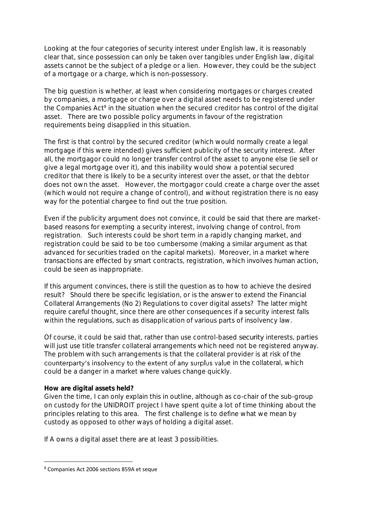Looking at the four categories of security interest under English law, it is reasonably clear that, since possession can only be taken over tangibles under English law, digital assets cannot be the subject of a pledge or a lien. However, they could be the subject of a mortgage or a charge, which is non-possessory.

The big question is whether, at least when considering mortgages or charges created by companies, a mortgage or charge over a digital asset needs to be registered under the Companies Act<sup>8</sup> in the situation when the secured creditor has control of the digital asset. There are two possible policy arguments in favour of the registration requirements being disapplied in this situation.

The first is that control by the secured creditor (which would normally create a legal mortgage if this were intended) gives sufficient publicity of the security interest. After all, the mortgagor could no longer transfer control of the asset to anyone else (ie sell or give a legal mortgage over it), and this inability would show a potential secured creditor that there is likely to be a security interest over the asset, or that the debtor does not own the asset. However, the mortgagor could create a charge over the asset (which would not require a change of control), and without registration there is no easy way for the potential chargee to find out the true position.

Even if the publicity argument does not convince, it could be said that there are marketbased reasons for exempting a security interest, involving change of control, from registration. Such interests could be short term in a rapidly changing market, and registration could be said to be too cumbersome (making a similar argument as that advanced for securities traded on the capital markets). Moreover, in a market where transactions are effected by smart contracts, registration, which involves human action, could be seen as inappropriate.

If this argument convinces, there is still the question as to how to achieve the desired result? Should there be specific legislation, or is the answer to extend the Financial Collateral Arrangements (No 2) Regulations to cover digital assets? The latter might require careful thought, since there are other consequences if a security interest falls within the regulations, such as disapplication of various parts of insolvency law.

Of course, it could be said that, rather than use control-based *security* interests, parties will just use title transfer collateral arrangements which need not be registered anyway. The problem with such arrangements is that the collateral provider is at risk of the counterparty's insolvency to the extent of any surplus value in the collateral, which could be a danger in a market where values change quickly.

## **How are digital assets held?**

Given the time, I can only explain this in outline, although as co-chair of the sub-group on custody for the UNIDROIT project I have spent quite a lot of time thinking about the principles relating to this area. The first challenge is to define what we mean by custody as opposed to other ways of holding a digital asset.

If A owns a digital asset there are at least 3 possibilities.

<sup>8</sup> Companies Act 2006 sections 859A et seque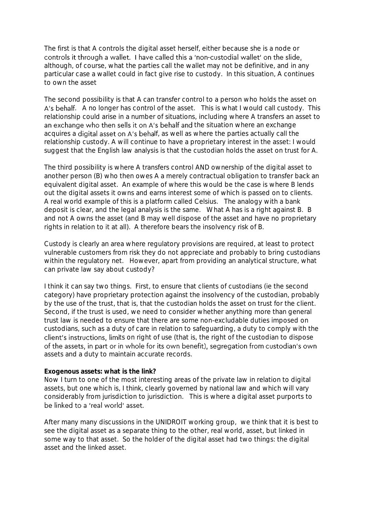The first is that A controls the digital asset herself, either because she is a node or controls it through a wallet. I have called this a 'non-custodial wallet' on the slide, although, of course, what the parties call the wallet may not be definitive, and in any particular case a wallet could in fact give rise to custody. In this situation, A continues to own the asset

The second possibility is that A can transfer control to a person who holds the asset on A's behalf. A no longer has control of the asset. This is what I would call custody. This relationship could arise in a number of situations, including where A transfers an asset to an exchange who then sells it on A's behalf and the situation where an exchange acquires a digital asset on A's behalf, as well as where the parties actually call the relationship custody. A will continue to have a proprietary interest in the asset: I would suggest that the English law analysis is that the custodian holds the asset on trust for A.

The third possibility is where A transfers control AND ownership of the digital asset to another person (B) who then owes A a merely contractual obligation to transfer back an equivalent digital asset. An example of where this would be the case is where B lends out the digital assets it owns and earns interest some of which is passed on to clients. A real world example of this is a platform called Celsius. The analogy with a bank deposit is clear, and the legal analysis is the same. What A has is a right against B. B and not A owns the asset (and B may well dispose of the asset and have no proprietary rights in relation to it at all). A therefore bears the insolvency risk of B.

Custody is clearly an area where regulatory provisions are required, at least to protect vulnerable customers from risk they do not appreciate and probably to bring custodians within the regulatory net. However, apart from providing an analytical structure, what can private law say about custody?

I think it can say two things. First, to ensure that clients of custodians (ie the second category) have proprietary protection against the insolvency of the custodian, probably by the use of the trust, that is, that the custodian holds the asset on trust for the client. Second, if the trust is used, we need to consider whether anything more than general trust law is needed to ensure that there are some non-excludable duties imposed on custodians, such as a duty of care in relation to safeguarding, a duty to comply with the client's instructions, limits on right of use (that is, the right of the custodian to dispose of the assets, in part or in whole for its own benefit), segregation from custodian's own assets and a duty to maintain accurate records.

## **Exogenous assets: what is the link?**

Now I turn to one of the most interesting areas of the private law in relation to digital assets, but one which is, I think, clearly governed by national law and which will vary considerably from jurisdiction to jurisdiction. This is where a digital asset purports to be linked to a 'real world' asset.

After many many discussions in the UNIDROIT working group, we think that it is best to see the digital asset as a separate thing to the other, real world, asset, but linked in some way to that asset. So the holder of the digital asset had two things: the digital asset and the linked asset.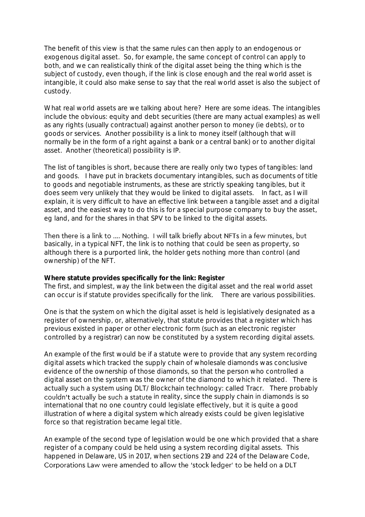The benefit of this view is that the same rules can then apply to an endogenous or exogenous digital asset. So, for example, the same concept of control can apply to both, and we can realistically think of the digital asset being the thing which is the subject of custody, even though, if the link is close enough and the real world asset is intangible, it could also make sense to say that the real world asset is also the subject of custody.

What real world assets are we talking about here? Here are some ideas. The intangibles include the obvious: equity and debt securities (there are many actual examples) as well as any rights (usually contractual) against another person to money (ie debts), or to goods or services. Another possibility is a link to money itself (although that will normally be in the form of a right against a bank or a central bank) or to another digital asset. Another (theoretical) possibility is IP.

The list of tangibles is short, because there are really only two types of tangibles: land and goods. I have put in brackets documentary intangibles, such as documents of title to goods and negotiable instruments, as these are strictly speaking tangibles, but it does seem very unlikely that they would be linked to digital assets. In fact, as I will explain, it is very difficult to have an effective link between a tangible asset and a digital asset, and the easiest way to do this is for a special purpose company to buy the asset, eg land, and for the shares in that SPV to be linked to the digital assets.

Then there is a link to .... Nothing. I will talk briefly about NFTs in a few minutes, but basically, in a typical NFT, the link is to nothing that could be seen as property, so although there is a purported link, the holder gets nothing more than control (and ownership) of the NFT.

**Where statute provides specifically for the link: Register** The first, and simplest, way the link between the digital asset and the real world asset can occur is if statute provides specifically for the link. There are various possibilities.

One is that the system on which the digital asset is held is legislatively designated as a register of ownership, or, alternatively, that statute provides that a register which has previous existed in paper or other electronic form (such as an electronic register controlled by a registrar) can now be constituted by a system recording digital assets.

An example of the first would be if a statute were to provide that any system recording digital assets which tracked the supply chain of wholesale diamonds was conclusive evidence of the ownership of those diamonds, so that the person who controlled a digital asset on the system was the owner of the diamond to which it related. There is actually such a system using DLT/Blockchain technology: called Tracr. There probably couldn't actually be such a statute in reality, since the supply chain in diamonds is so international that no one country could legislate effectively, but it is quite a good illustration of where a digital system which already exists could be given legislative force so that registration became legal title.

An example of the second type of legislation would be one which provided that a share register of a company could be held using a system recording digital assets. This happened in Delaware, US in 2017, when sections 219 and 224 of the Delaware Code, Corporations Law were amended to allow the 'stock ledger' to be held on a DLT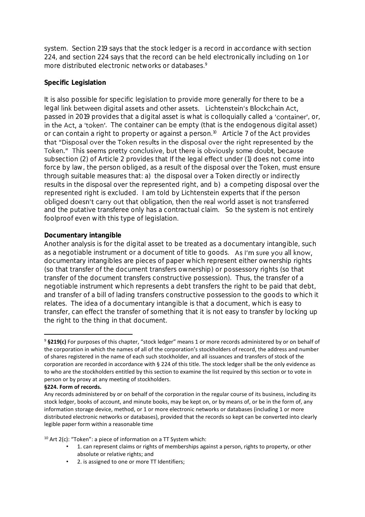system. Section 219 says that the stock ledger is a record in accordance with section 224, and section 224 says that the record can be held electronically including on 1 or more distributed electronic networks or databases.<sup>9</sup>

# **Specific Legislation**

It is also possible for specific legislation to provide more generally for there to be a legal link between digital assets and other assets. Lichtenstein's Blockchain Act, passed in 2019 provides that a digital asset is what is colloquially called a 'container', or, in the Act, a 'token'. The container can be empty (that is the endogenous digital asset) or can contain a right to property or against a person.<sup>10</sup> Article 7 of the Act provides that "Disposal over the Token results in the disposal over the right represented by the Token." This seems pretty conclusive, but there is obviously some doubt, because subsection (2) of Article 2 provides that If the legal effect under (1) does not come into force by law, the person obliged, as a result of the disposal over the Token, must ensure through suitable measures that: a) the disposal over a Token directly or indirectly results in the disposal over the represented right, and b) a competing disposal over the represented right is excluded. I am told by Lichtenstein experts that if the person obliged doesn't carry out that obligation, then the real world asset is not transferred and the putative transferee only has a contractual claim. So the system is not entirely foolproof even with this type of legislation.

## **Documentary intangible**

Another analysis is for the digital asset to be treated as a documentary intangible, such as a negotiable instrument or a document of title to goods. As I'm sure you all know, documentary intangibles are pieces of paper which represent either ownership rights (so that transfer of the document transfers ownership) or possessory rights (so that transfer of the document transfers constructive possession). Thus, the transfer of a negotiable instrument which represents a debt transfers the right to be paid that debt, and transfer of a bill of lading transfers constructive possession to the goods to which it relates. The idea of a documentary intangible is that a document, which is easy to transfer, can effect the transfer of something that it is not easy to transfer by locking up the right to the thing in that document.

#### **§224. Form of records.**

 $10$  Art 2(c): "Token": a piece of information on a TT System which:

- 1. can represent claims or rights of memberships against a person, rights to property, or other absolute or relative rights; and
- 2. is assigned to one or more TT Identifiers;

<sup>9</sup> **§219(c)** For purposes of this chapter, "stock ledger" means 1 or more records administered by or on behalf of the corporation in which the names of all of the corporation's stockholders of record, the address and number of shares registered in the name of each such stockholder, and all issuances and transfers of stock of the corporation are recorded in accordance with § 224 of this title. The stock ledger shall be the only evidence as to who are the stockholders entitled by this section to examine the list required by this section or to vote in person or by proxy at any meeting of stockholders.

Any records administered by or on behalf of the corporation in the regular course of its business, including its stock ledger, books of account, and minute books, may be kept on, or by means of, or be in the form of, any information storage device, method, or 1 or more electronic networks or databases (including 1 or more distributed electronic networks or databases), provided that the records so kept can be converted into clearly legible paper form within a reasonable time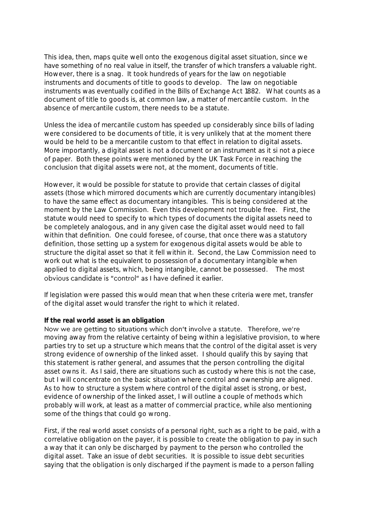This idea, then, maps quite well onto the exogenous digital asset situation, since we have something of no real value in itself, the transfer of which transfers a valuable right. However, there is a snag. It took hundreds of years for the law on negotiable instruments and documents of title to goods to develop. The law on negotiable instruments was eventually codified in the Bills of Exchange Act 1882. What counts as a document of title to goods is, at common law, a matter of mercantile custom. In the absence of mercantile custom, there needs to be a statute.

Unless the idea of mercantile custom has speeded up considerably since bills of lading were considered to be documents of title, it is very unlikely that at the moment there would be held to be a mercantile custom to that effect in relation to digital assets. More importantly, a digital asset is not a document or an instrument as it si not a piece of paper. Both these points were mentioned by the UK Task Force in reaching the conclusion that digital assets were not, at the moment, documents of title.

However, it would be possible for statute to provide that certain classes of digital assets (those which mirrored documents which are currently documentary intangibles) to have the same effect as documentary intangibles. This is being considered at the moment by the Law Commission. Even this development not trouble free. First, the statute would need to specify to which types of documents the digital assets need to be completely analogous, and in any given case the digital asset would need to fall within that definition. One could foresee, of course, that once there was a statutory definition, those setting up a system for exogenous digital assets would be able to structure the digital asset so that it fell within it. Second, the Law Commission need to work out what is the equivalent to possession of a documentary intangible when applied to digital assets, which, being intangible, cannot be possessed. The most obvious candidate is "control" as I have defined it earlier.

If legislation were passed this would mean that when these criteria were met, transfer of the digital asset would transfer the right to which it related.

## **If the real world asset is an obligation**

Now we are getting to situations which don't involve a statute. Therefore, we're moving away from the relative certainty of being within a legislative provision, to where parties try to set up a structure which means that the control of the digital asset is very strong evidence of ownership of the linked asset. I should qualify this by saying that this statement is rather general, and assumes that the person controlling the digital asset owns it. As I said, there are situations such as custody where this is not the case, but I will concentrate on the basic situation where control and ownership are aligned. As to how to structure a system where control of the digital asset is strong, or best, evidence of ownership of the linked asset, I will outline a couple of methods which probably will work, at least as a matter of commercial practice, while also mentioning some of the things that could go wrong.

First, if the real world asset consists of a personal right, such as a right to be paid, with a correlative obligation on the payer, it is possible to create the obligation to pay in such a way that it can only be discharged by payment to the person who controlled the digital asset. Take an issue of debt securities. It is possible to issue debt securities saying that the obligation is only discharged if the payment is made to a person falling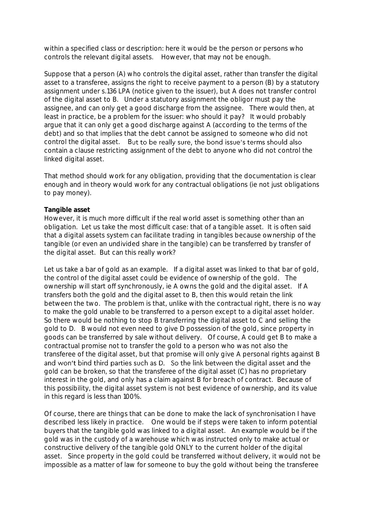within a specified class or description: here it would be the person or persons who controls the relevant digital assets. However, that may not be enough.

Suppose that a person (A) who controls the digital asset, rather than transfer the digital asset to a transferee, assigns the right to receive payment to a person (B) by a statutory assignment under s.136 LPA (notice given to the issuer), but A does not transfer control of the digital asset to B. Under a statutory assignment the obligor must pay the assignee, and can only get a good discharge from the assignee. There would then, at least in practice, be a problem for the issuer: who should it pay? It would probably argue that it can only get a good discharge against A (according to the terms of the debt) and so that implies that the debt cannot be assigned to someone who did not control the digital asset. But to be really sure, the bond issue's terms should also contain a clause restricting assignment of the debt to anyone who did not control the linked digital asset.

That method should work for any obligation, providing that the documentation is clear enough and in theory would work for any contractual obligations (ie not just obligations to pay money).

## **Tangible asset**

However, it is much more difficult if the real world asset is something other than an obligation. Let us take the most difficult case: that of a tangible asset. It is often said that a digital assets system can facilitate trading in tangibles because ownership of the tangible (or even an undivided share in the tangible) can be transferred by transfer of the digital asset. But can this really work?

Let us take a bar of gold as an example. If a digital asset was linked to that bar of gold, the control of the digital asset could be evidence of ownership of the gold. The ownership will start off synchronously, ie A owns the gold and the digital asset. If A transfers both the gold and the digital asset to B, then this would retain the link between the two. The problem is that, unlike with the contractual right, there is no way to make the gold unable to be transferred to a person except to a digital asset holder. So there would be nothing to stop B transferring the digital asset to C and selling the gold to D. B would not even need to give D possession of the gold, since property in goods can be transferred by sale without delivery. Of course, A could get B to make a contractual promise not to transfer the gold to a person who was not also the transferee of the digital asset, but that promise will only give A personal rights against B and won't bind third parties such as D. So the link between the digital asset and the gold can be broken, so that the transferee of the digital asset (C) has no proprietary interest in the gold, and only has a claim against B for breach of contract. Because of this possibility, the digital asset system is not best evidence of ownership, and its value in this regard is less than 100%.

Of course, there are things that can be done to make the lack of synchronisation I have described less likely in practice. One would be if steps were taken to inform potential buyers that the tangible gold was linked to a digital asset. An example would be if the gold was in the custody of a warehouse which was instructed only to make actual or constructive delivery of the tangible gold ONLY to the current holder of the digital asset. Since property in the gold could be transferred without delivery, it would not be impossible as a matter of law for someone to buy the gold without being the transferee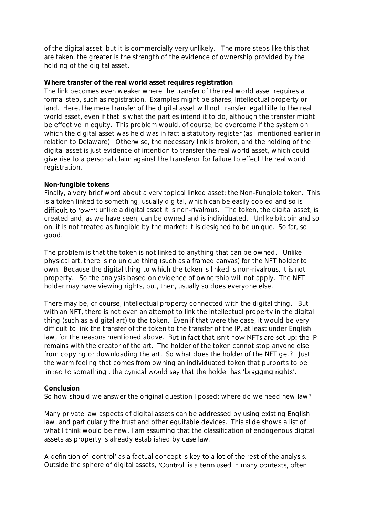of the digital asset, but it is commercially very unlikely. The more steps like this that are taken, the greater is the strength of the evidence of ownership provided by the holding of the digital asset.

**Where transfer of the real world asset requires registration**  The link becomes even weaker where the transfer of the real world asset requires a formal step, such as registration. Examples might be shares, Intellectual property or land. Here, the mere transfer of the digital asset will not transfer legal title to the real world asset, even if that is what the parties intend it to do, although the transfer might be effective in equity. This problem would, of course, be overcome if the system on which the digital asset was held was in fact a statutory register (as I mentioned earlier in relation to Delaware). Otherwise, the necessary link is broken, and the holding of the digital asset is just evidence of intention to transfer the real world asset, which could give rise to a personal claim against the transferor for failure to effect the real world registration.

## **Non-fungible tokens**

Finally, a very brief word about a very topical linked asset: the Non-Fungible token. This is a token linked to something, usually digital, which can be easily copied and so is difficult to 'own': unlike a digital asset it is non-rivalrous. The token, the digital asset, is created and, as we have seen, can be owned and is individuated. Unlike bitcoin and so on, it is not treated as fungible by the market: it is designed to be unique. So far, so good.

The problem is that the token is not linked to anything that can be owned. Unlike physical art, there is no unique thing (such as a framed canvas) for the NFT holder to own. Because the digital thing to which the token is linked is non-rivalrous, it is not property. So the analysis based on evidence of ownership will not apply. The NFT holder may have viewing rights, but, then, usually so does everyone else.

There may be, of course, intellectual property connected with the digital thing. But with an NFT, there is not even an attempt to link the intellectual property in the digital thing (such as a digital art) to the token. Even if that were the case, it would be very difficult to link the transfer of the token to the transfer of the IP, at least under English law, for the reasons mentioned above. But in fact that isn't how NFTs are set up: the IP remains with the creator of the art. The holder of the token cannot stop anyone else from copying or downloading the art. So what does the holder of the NFT get? Just the warm feeling that comes from owning an individuated token that purports to be linked to something : the cynical would say that the holder has 'bragging rights'.

## **Conclusion**

So how should we answer the original question I posed: where do we need new law?

Many private law aspects of digital assets can be addressed by using existing English law, and particularly the trust and other equitable devices. This slide shows a list of what I think would be new. I am assuming that the classification of endogenous digital assets as property is already established by case law.

A definition of 'control' as a factual concept is key to a lot of the rest of the analysis. Outside the sphere of digital assets, 'Control' is a term used in many contexts, often